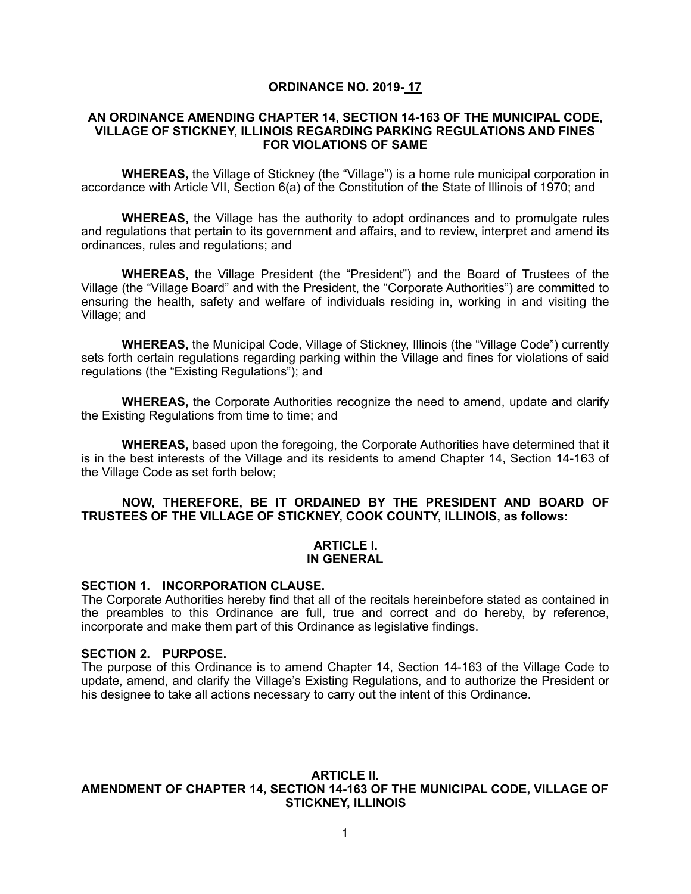## **ORDINANCE NO. 2019- 17**

#### **AN ORDINANCE AMENDING CHAPTER 14, SECTION 14-163 OF THE MUNICIPAL CODE, VILLAGE OF STICKNEY, ILLINOIS REGARDING PARKING REGULATIONS AND FINES FOR VIOLATIONS OF SAME**

**WHEREAS,** the Village of Stickney (the "Village") is a home rule municipal corporation in accordance with Article VII, Section 6(a) of the Constitution of the State of Illinois of 1970; and

**WHEREAS,** the Village has the authority to adopt ordinances and to promulgate rules and regulations that pertain to its government and affairs, and to review, interpret and amend its ordinances, rules and regulations; and

**WHEREAS,** the Village President (the "President") and the Board of Trustees of the Village (the "Village Board" and with the President, the "Corporate Authorities") are committed to ensuring the health, safety and welfare of individuals residing in, working in and visiting the Village; and

**WHEREAS,** the Municipal Code, Village of Stickney, Illinois (the "Village Code") currently sets forth certain regulations regarding parking within the Village and fines for violations of said regulations (the "Existing Regulations"); and

**WHEREAS,** the Corporate Authorities recognize the need to amend, update and clarify the Existing Regulations from time to time; and

**WHEREAS,** based upon the foregoing, the Corporate Authorities have determined that it is in the best interests of the Village and its residents to amend Chapter 14, Section 14-163 of the Village Code as set forth below;

### **NOW, THEREFORE, BE IT ORDAINED BY THE PRESIDENT AND BOARD OF TRUSTEES OF THE VILLAGE OF STICKNEY, COOK COUNTY, ILLINOIS, as follows:**

#### **ARTICLE I. IN GENERAL**

#### **SECTION 1. INCORPORATION CLAUSE.**

The Corporate Authorities hereby find that all of the recitals hereinbefore stated as contained in the preambles to this Ordinance are full, true and correct and do hereby, by reference, incorporate and make them part of this Ordinance as legislative findings.

#### **SECTION 2. PURPOSE.**

The purpose of this Ordinance is to amend Chapter 14, Section 14-163 of the Village Code to update, amend, and clarify the Village's Existing Regulations, and to authorize the President or his designee to take all actions necessary to carry out the intent of this Ordinance.

#### **ARTICLE II. AMENDMENT OF CHAPTER 14, SECTION 14-163 OF THE MUNICIPAL CODE, VILLAGE OF STICKNEY, ILLINOIS**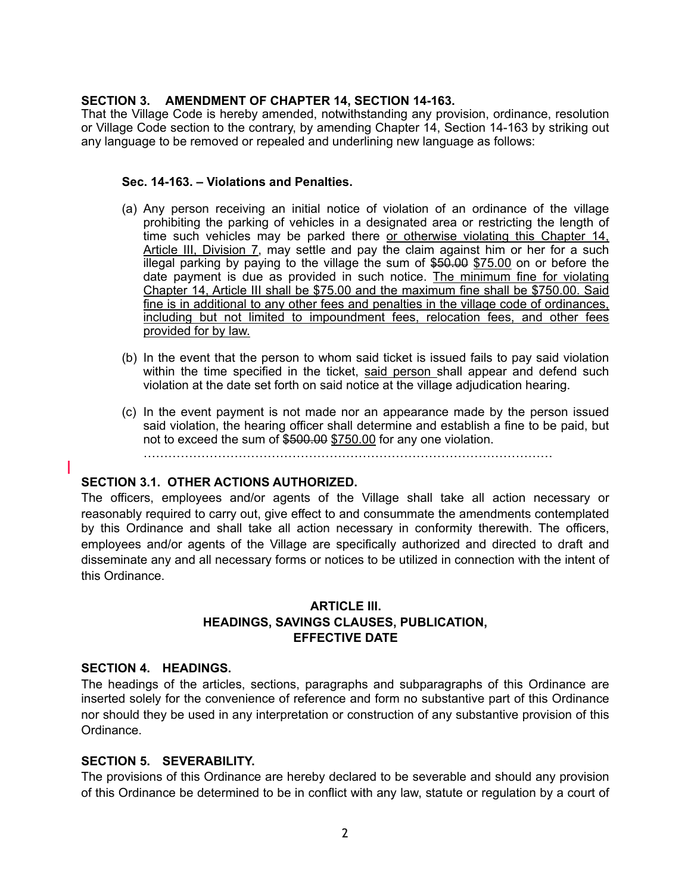## **SECTION 3. AMENDMENT OF CHAPTER 14, SECTION 14-163.**

That the Village Code is hereby amended, notwithstanding any provision, ordinance, resolution or Village Code section to the contrary, by amending Chapter 14, Section 14-163 by striking out any language to be removed or repealed and underlining new language as follows:

## **Sec. 14-163. – Violations and Penalties.**

- (a) Any person receiving an initial notice of violation of an ordinance of the village prohibiting the parking of vehicles in a designated area or restricting the length of time such vehicles may be parked there or otherwise violating this Chapter 14, Article III, Division 7, may settle and pay the claim against him or her for a such illegal parking by paying to the village the sum of  $$50.00$  \$75.00 on or before the date payment is due as provided in such notice. The minimum fine for violating Chapter 14, Article III shall be \$75.00 and the maximum fine shall be \$750.00. Said fine is in additional to any other fees and penalties in the village code of ordinances, including but not limited to impoundment fees, relocation fees, and other fees provided for by law.
- (b) In the event that the person to whom said ticket is issued fails to pay said violation within the time specified in the ticket, said person shall appear and defend such violation at the date set forth on said notice at the village adjudication hearing.
- (c) In the event payment is not made nor an appearance made by the person issued said violation, the hearing officer shall determine and establish a fine to be paid, but not to exceed the sum of \$500.00 \$750.00 for any one violation.

………………………………………………………………………………………

## **SECTION 3.1. OTHER ACTIONS AUTHORIZED.**

The officers, employees and/or agents of the Village shall take all action necessary or reasonably required to carry out, give effect to and consummate the amendments contemplated by this Ordinance and shall take all action necessary in conformity therewith. The officers, employees and/or agents of the Village are specifically authorized and directed to draft and disseminate any and all necessary forms or notices to be utilized in connection with the intent of this Ordinance.

# **ARTICLE III. HEADINGS, SAVINGS CLAUSES, PUBLICATION, EFFECTIVE DATE**

## **SECTION 4. HEADINGS.**

The headings of the articles, sections, paragraphs and subparagraphs of this Ordinance are inserted solely for the convenience of reference and form no substantive part of this Ordinance nor should they be used in any interpretation or construction of any substantive provision of this Ordinance.

## **SECTION 5. SEVERABILITY.**

The provisions of this Ordinance are hereby declared to be severable and should any provision of this Ordinance be determined to be in conflict with any law, statute or regulation by a court of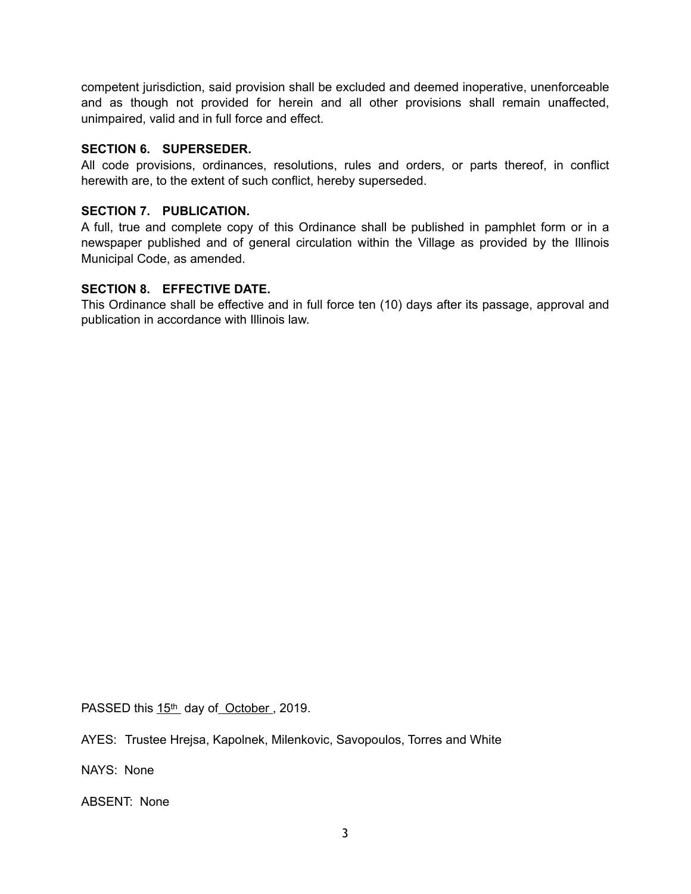competent jurisdiction, said provision shall be excluded and deemed inoperative, unenforceable and as though not provided for herein and all other provisions shall remain unaffected, unimpaired, valid and in full force and effect.

## **SECTION 6. SUPERSEDER.**

All code provisions, ordinances, resolutions, rules and orders, or parts thereof, in conflict herewith are, to the extent of such conflict, hereby superseded.

# **SECTION 7. PUBLICATION.**

A full, true and complete copy of this Ordinance shall be published in pamphlet form or in a newspaper published and of general circulation within the Village as provided by the Illinois Municipal Code, as amended.

# **SECTION 8. EFFECTIVE DATE.**

This Ordinance shall be effective and in full force ten (10) days after its passage, approval and publication in accordance with Illinois law.

PASSED this 15<sup>th</sup> day of October, 2019.

AYES: Trustee Hrejsa, Kapolnek, Milenkovic, Savopoulos, Torres and White

NAYS: None

ABSENT: None